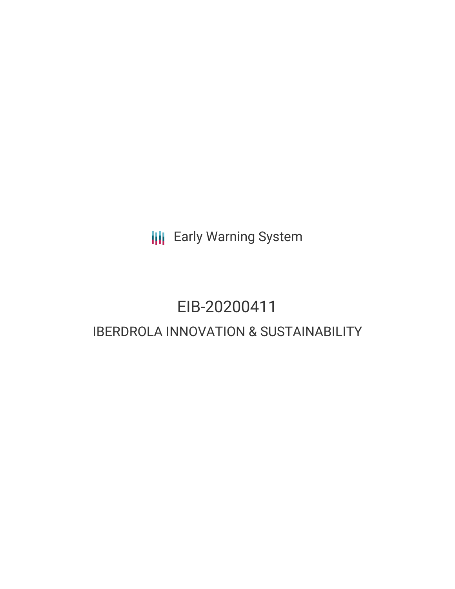**III** Early Warning System

# EIB-20200411 IBERDROLA INNOVATION & SUSTAINABILITY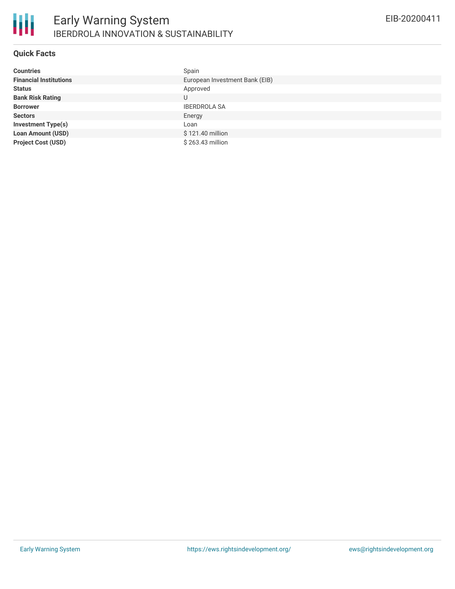

#### **Quick Facts**

| <b>Countries</b>              | Spain                          |
|-------------------------------|--------------------------------|
| <b>Financial Institutions</b> | European Investment Bank (EIB) |
| <b>Status</b>                 | Approved                       |
| <b>Bank Risk Rating</b>       | U                              |
| <b>Borrower</b>               | <b>IBERDROLA SA</b>            |
| <b>Sectors</b>                | Energy                         |
| <b>Investment Type(s)</b>     | Loan                           |
| <b>Loan Amount (USD)</b>      | \$121.40 million               |
| <b>Project Cost (USD)</b>     | $$263.43$ million              |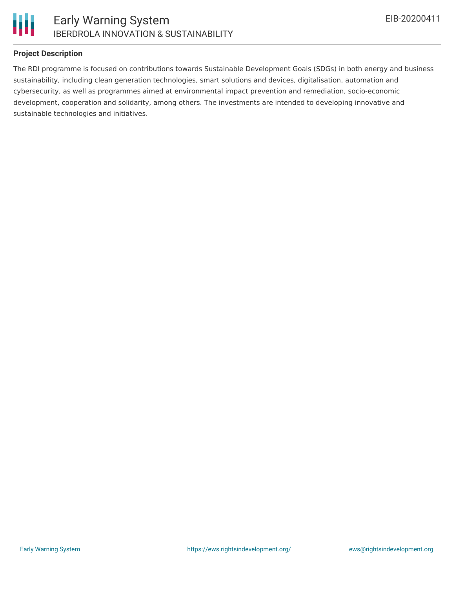

#### **Project Description**

The RDI programme is focused on contributions towards Sustainable Development Goals (SDGs) in both energy and business sustainability, including clean generation technologies, smart solutions and devices, digitalisation, automation and cybersecurity, as well as programmes aimed at environmental impact prevention and remediation, socio-economic development, cooperation and solidarity, among others. The investments are intended to developing innovative and sustainable technologies and initiatives.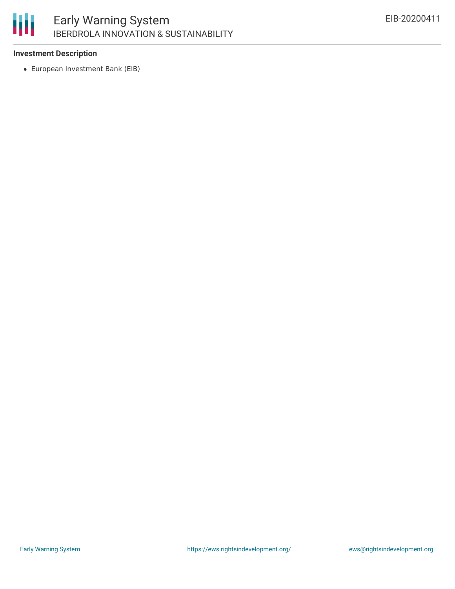# 冊

## **Investment Description**

European Investment Bank (EIB)